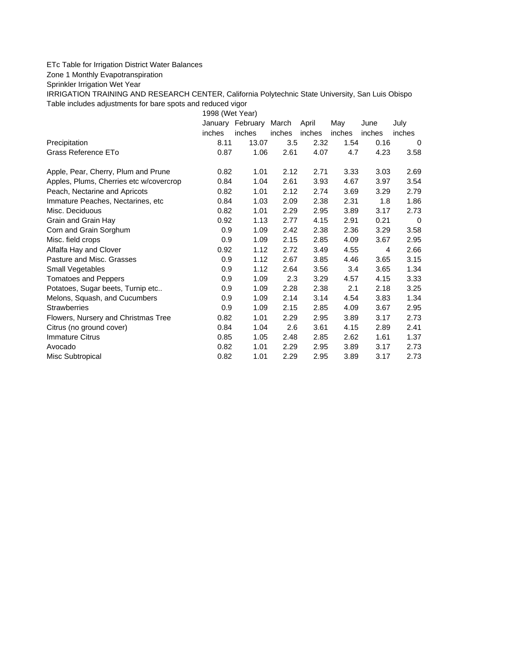## ETc Table for Irrigation District Water Balances

Zone 1 Monthly Evapotranspiration

Sprinkler Irrigation Wet Year

IRRIGATION TRAINING AND RESEARCH CENTER, California Polytechnic State University, San Luis Obispo Table includes adjustments for bare spots and reduced vigor

1998 (Wet Year)

|                                         |        | January February March |        | April  | May    | June   | July   |
|-----------------------------------------|--------|------------------------|--------|--------|--------|--------|--------|
|                                         | inches | inches                 | inches | inches | inches | inches | inches |
| Precipitation                           | 8.11   | 13.07                  | 3.5    | 2.32   | 1.54   | 0.16   | 0      |
| Grass Reference ETo                     | 0.87   | 1.06                   | 2.61   | 4.07   | 4.7    | 4.23   | 3.58   |
| Apple, Pear, Cherry, Plum and Prune     | 0.82   | 1.01                   | 2.12   | 2.71   | 3.33   | 3.03   | 2.69   |
| Apples, Plums, Cherries etc w/covercrop | 0.84   | 1.04                   | 2.61   | 3.93   | 4.67   | 3.97   | 3.54   |
| Peach, Nectarine and Apricots           | 0.82   | 1.01                   | 2.12   | 2.74   | 3.69   | 3.29   | 2.79   |
| Immature Peaches, Nectarines, etc       | 0.84   | 1.03                   | 2.09   | 2.38   | 2.31   | 1.8    | 1.86   |
| Misc. Deciduous                         | 0.82   | 1.01                   | 2.29   | 2.95   | 3.89   | 3.17   | 2.73   |
| Grain and Grain Hay                     | 0.92   | 1.13                   | 2.77   | 4.15   | 2.91   | 0.21   | 0      |
| Corn and Grain Sorghum                  | 0.9    | 1.09                   | 2.42   | 2.38   | 2.36   | 3.29   | 3.58   |
| Misc. field crops                       | 0.9    | 1.09                   | 2.15   | 2.85   | 4.09   | 3.67   | 2.95   |
| Alfalfa Hay and Clover                  | 0.92   | 1.12                   | 2.72   | 3.49   | 4.55   | 4      | 2.66   |
| Pasture and Misc. Grasses               | 0.9    | 1.12                   | 2.67   | 3.85   | 4.46   | 3.65   | 3.15   |
| Small Vegetables                        | 0.9    | 1.12                   | 2.64   | 3.56   | 3.4    | 3.65   | 1.34   |
| <b>Tomatoes and Peppers</b>             | 0.9    | 1.09                   | 2.3    | 3.29   | 4.57   | 4.15   | 3.33   |
| Potatoes, Sugar beets, Turnip etc       | 0.9    | 1.09                   | 2.28   | 2.38   | 2.1    | 2.18   | 3.25   |
| Melons, Squash, and Cucumbers           | 0.9    | 1.09                   | 2.14   | 3.14   | 4.54   | 3.83   | 1.34   |
| <b>Strawberries</b>                     | 0.9    | 1.09                   | 2.15   | 2.85   | 4.09   | 3.67   | 2.95   |
| Flowers, Nursery and Christmas Tree     | 0.82   | 1.01                   | 2.29   | 2.95   | 3.89   | 3.17   | 2.73   |
| Citrus (no ground cover)                | 0.84   | 1.04                   | 2.6    | 3.61   | 4.15   | 2.89   | 2.41   |
| <b>Immature Citrus</b>                  | 0.85   | 1.05                   | 2.48   | 2.85   | 2.62   | 1.61   | 1.37   |
| Avocado                                 | 0.82   | 1.01                   | 2.29   | 2.95   | 3.89   | 3.17   | 2.73   |
| Misc Subtropical                        | 0.82   | 1.01                   | 2.29   | 2.95   | 3.89   | 3.17   | 2.73   |